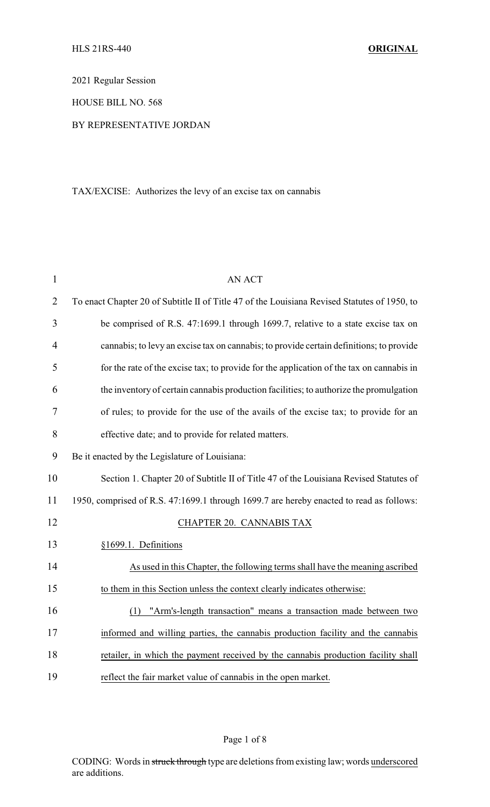2021 Regular Session

HOUSE BILL NO. 568

## BY REPRESENTATIVE JORDAN

## TAX/EXCISE: Authorizes the levy of an excise tax on cannabis

| $\mathbf{1}$   | <b>AN ACT</b>                                                                                |  |
|----------------|----------------------------------------------------------------------------------------------|--|
| $\overline{2}$ | To enact Chapter 20 of Subtitle II of Title 47 of the Louisiana Revised Statutes of 1950, to |  |
| 3              | be comprised of R.S. 47:1699.1 through 1699.7, relative to a state excise tax on             |  |
| $\overline{4}$ | cannabis; to levy an excise tax on cannabis; to provide certain definitions; to provide      |  |
| 5              | for the rate of the excise tax; to provide for the application of the tax on cannabis in     |  |
| 6              | the inventory of certain cannabis production facilities; to authorize the promulgation       |  |
| 7              | of rules; to provide for the use of the avails of the excise tax; to provide for an          |  |
| 8              | effective date; and to provide for related matters.                                          |  |
| 9              | Be it enacted by the Legislature of Louisiana:                                               |  |
| 10             | Section 1. Chapter 20 of Subtitle II of Title 47 of the Louisiana Revised Statutes of        |  |
| 11             | 1950, comprised of R.S. 47:1699.1 through 1699.7 are hereby enacted to read as follows:      |  |
| 12             | CHAPTER 20. CANNABIS TAX                                                                     |  |
| 13             | §1699.1. Definitions                                                                         |  |
| 14             | As used in this Chapter, the following terms shall have the meaning ascribed                 |  |
| 15             | to them in this Section unless the context clearly indicates otherwise:                      |  |
| 16             | "Arm's-length transaction" means a transaction made between two<br>(1)                       |  |
| 17             | informed and willing parties, the cannabis production facility and the cannabis              |  |
| 18             | retailer, in which the payment received by the cannabis production facility shall            |  |
| 19             | reflect the fair market value of cannabis in the open market.                                |  |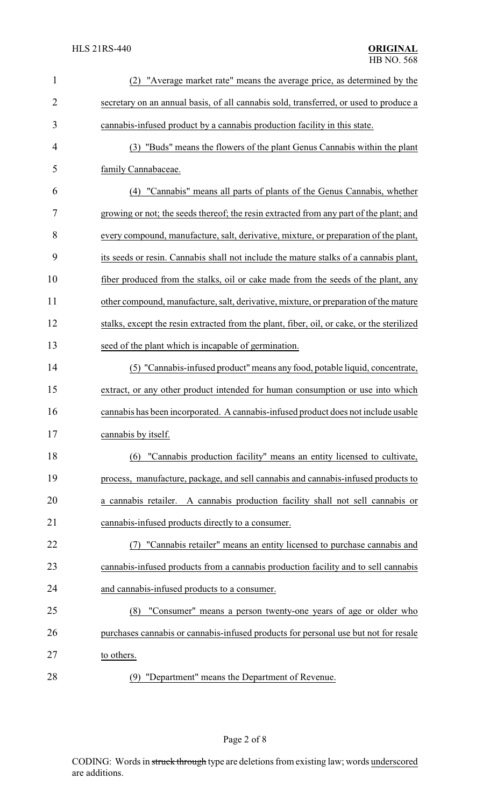| $\mathbf{1}$   | (2) "Average market rate" means the average price, as determined by the                   |  |  |
|----------------|-------------------------------------------------------------------------------------------|--|--|
| $\overline{2}$ | secretary on an annual basis, of all cannabis sold, transferred, or used to produce a     |  |  |
| 3              | cannabis-infused product by a cannabis production facility in this state.                 |  |  |
| 4              | (3) "Buds" means the flowers of the plant Genus Cannabis within the plant                 |  |  |
| 5              | family Cannabaceae.                                                                       |  |  |
| 6              | (4) "Cannabis" means all parts of plants of the Genus Cannabis, whether                   |  |  |
| 7              | growing or not; the seeds thereof; the resin extracted from any part of the plant; and    |  |  |
| 8              | every compound, manufacture, salt, derivative, mixture, or preparation of the plant,      |  |  |
| 9              | its seeds or resin. Cannabis shall not include the mature stalks of a cannabis plant,     |  |  |
| 10             | fiber produced from the stalks, oil or cake made from the seeds of the plant, any         |  |  |
| 11             | other compound, manufacture, salt, derivative, mixture, or preparation of the mature      |  |  |
| 12             | stalks, except the resin extracted from the plant, fiber, oil, or cake, or the sterilized |  |  |
| 13             | seed of the plant which is incapable of germination.                                      |  |  |
| 14             | (5) "Cannabis-infused product" means any food, potable liquid, concentrate,               |  |  |
| 15             | extract, or any other product intended for human consumption or use into which            |  |  |
| 16             | cannabis has been incorporated. A cannabis-infused product does not include usable        |  |  |
| 17             | cannabis by itself.                                                                       |  |  |
| 18             | "Cannabis production facility" means an entity licensed to cultivate,<br>(6)              |  |  |
| 19             | process, manufacture, package, and sell cannabis and cannabis-infused products to         |  |  |
| 20             | a cannabis retailer. A cannabis production facility shall not sell cannabis or            |  |  |
| 21             | cannabis-infused products directly to a consumer.                                         |  |  |
| 22             | "Cannabis retailer" means an entity licensed to purchase cannabis and                     |  |  |
| 23             | cannabis-infused products from a cannabis production facility and to sell cannabis        |  |  |
| 24             | and cannabis-infused products to a consumer.                                              |  |  |
| 25             | "Consumer" means a person twenty-one years of age or older who<br>(8)                     |  |  |
| 26             | purchases cannabis or cannabis-infused products for personal use but not for resale       |  |  |
| 27             | to others.                                                                                |  |  |
| 28             | (9) "Department" means the Department of Revenue.                                         |  |  |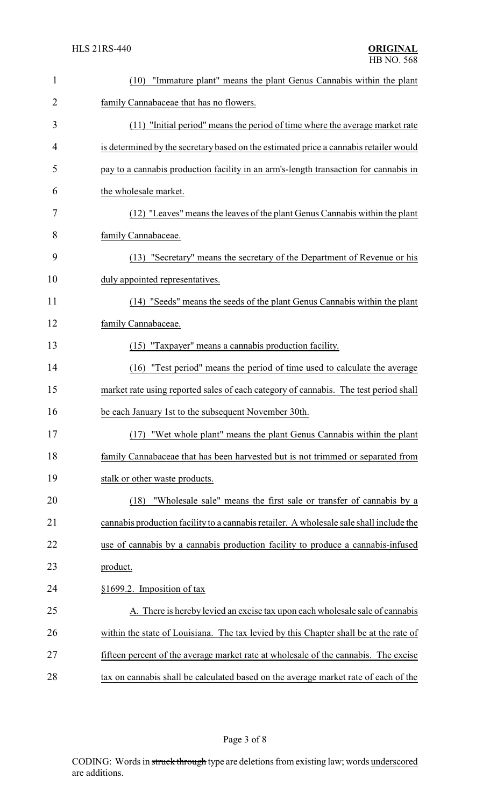| $\mathbf{1}$ | "Immature plant" means the plant Genus Cannabis within the plant<br>(10)                |
|--------------|-----------------------------------------------------------------------------------------|
| 2            | family Cannabaceae that has no flowers.                                                 |
| 3            | (11) "Initial period" means the period of time where the average market rate            |
| 4            | is determined by the secretary based on the estimated price a cannabis retailer would   |
| 5            | pay to a cannabis production facility in an arm's-length transaction for cannabis in    |
| 6            | the wholesale market.                                                                   |
| 7            | (12) "Leaves" means the leaves of the plant Genus Cannabis within the plant             |
| 8            | family Cannabaceae.                                                                     |
| 9            | (13) "Secretary" means the secretary of the Department of Revenue or his                |
| 10           | duly appointed representatives.                                                         |
| 11           | (14) "Seeds" means the seeds of the plant Genus Cannabis within the plant               |
| 12           | family Cannabaceae.                                                                     |
| 13           | (15) "Taxpayer" means a cannabis production facility.                                   |
| 14           | "Test period" means the period of time used to calculate the average<br>(16)            |
| 15           | market rate using reported sales of each category of cannabis. The test period shall    |
| 16           | be each January 1st to the subsequent November 30th.                                    |
| 17           | (17) "Wet whole plant" means the plant Genus Cannabis within the plant                  |
| 18           | family Cannabaceae that has been harvested but is not trimmed or separated from         |
| 19           | stalk or other waste products.                                                          |
| 20           | "Wholesale sale" means the first sale or transfer of cannabis by a<br>(18)              |
| 21           | cannabis production facility to a cannabis retailer. A wholesale sale shall include the |
| 22           | use of cannabis by a cannabis production facility to produce a cannabis-infused         |
| 23           | product.                                                                                |
| 24           | §1699.2. Imposition of tax                                                              |
| 25           | A. There is hereby levied an excise tax upon each wholesale sale of cannabis            |
| 26           | within the state of Louisiana. The tax levied by this Chapter shall be at the rate of   |
| 27           | fifteen percent of the average market rate at wholesale of the cannabis. The excise     |
| 28           | tax on cannabis shall be calculated based on the average market rate of each of the     |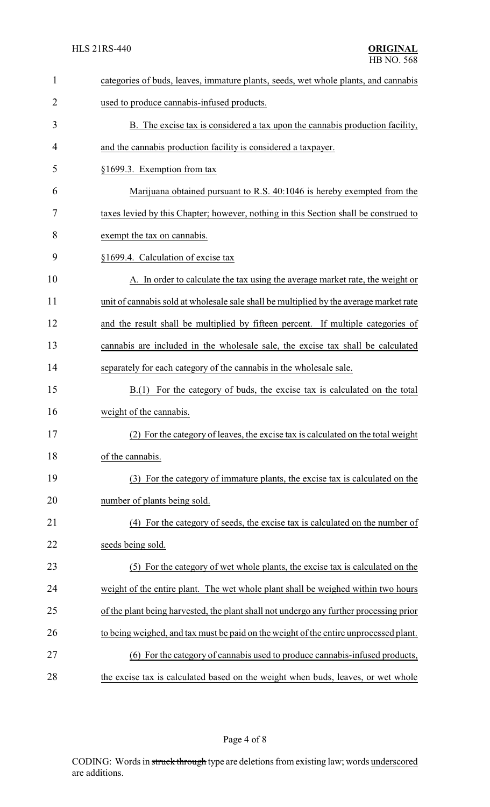| $\mathbf{1}$ | categories of buds, leaves, immature plants, seeds, wet whole plants, and cannabis     |  |
|--------------|----------------------------------------------------------------------------------------|--|
| 2            | used to produce cannabis-infused products.                                             |  |
| 3            | B. The excise tax is considered a tax upon the cannabis production facility,           |  |
| 4            | and the cannabis production facility is considered a taxpayer.                         |  |
| 5            | §1699.3. Exemption from tax                                                            |  |
| 6            | Marijuana obtained pursuant to R.S. 40:1046 is hereby exempted from the                |  |
| 7            | taxes levied by this Chapter; however, nothing in this Section shall be construed to   |  |
| 8            | exempt the tax on cannabis.                                                            |  |
| 9            | §1699.4. Calculation of excise tax                                                     |  |
| 10           | A. In order to calculate the tax using the average market rate, the weight or          |  |
| 11           | unit of cannabis sold at wholesale sale shall be multiplied by the average market rate |  |
| 12           | and the result shall be multiplied by fifteen percent. If multiple categories of       |  |
| 13           | cannabis are included in the wholesale sale, the excise tax shall be calculated        |  |
| 14           | separately for each category of the cannabis in the wholesale sale.                    |  |
| 15           | B.(1) For the category of buds, the excise tax is calculated on the total              |  |
| 16           | weight of the cannabis.                                                                |  |
| 17           | (2) For the category of leaves, the excise tax is calculated on the total weight       |  |
| 18           | of the cannabis.                                                                       |  |
| 19           | (3) For the category of immature plants, the excise tax is calculated on the           |  |
| 20           | number of plants being sold.                                                           |  |
| 21           | (4) For the category of seeds, the excise tax is calculated on the number of           |  |
| 22           | seeds being sold.                                                                      |  |
| 23           | (5) For the category of wet whole plants, the excise tax is calculated on the          |  |
| 24           | weight of the entire plant. The wet whole plant shall be weighed within two hours      |  |
| 25           | of the plant being harvested, the plant shall not undergo any further processing prior |  |
| 26           | to being weighed, and tax must be paid on the weight of the entire unprocessed plant.  |  |
| 27           | (6) For the category of cannabis used to produce cannabis-infused products,            |  |
| 28           | the excise tax is calculated based on the weight when buds, leaves, or wet whole       |  |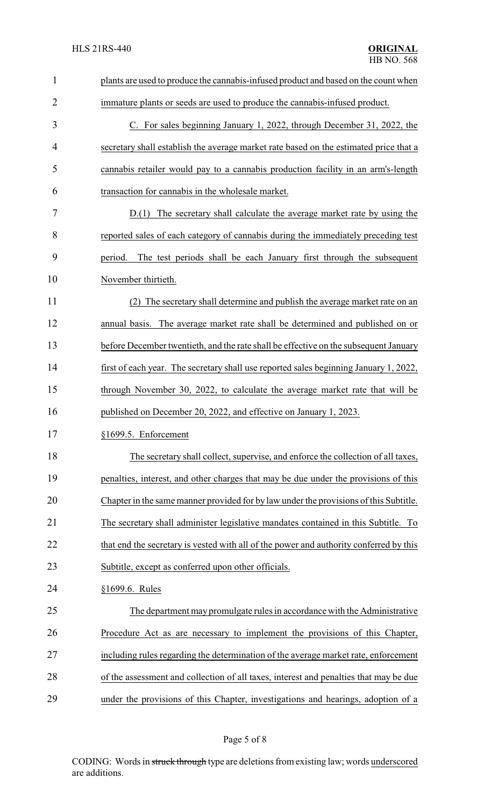| $\mathbf{1}$   | plants are used to produce the cannabis-infused product and based on the count when    |  |  |
|----------------|----------------------------------------------------------------------------------------|--|--|
| $\overline{2}$ | immature plants or seeds are used to produce the cannabis-infused product.             |  |  |
| 3              | C. For sales beginning January 1, 2022, through December 31, 2022, the                 |  |  |
| $\overline{4}$ | secretary shall establish the average market rate based on the estimated price that a  |  |  |
| 5              | cannabis retailer would pay to a cannabis production facility in an arm's-length       |  |  |
| 6              | transaction for cannabis in the wholesale market.                                      |  |  |
| 7              | D.(1) The secretary shall calculate the average market rate by using the               |  |  |
| 8              | reported sales of each category of cannabis during the immediately preceding test      |  |  |
| 9              | The test periods shall be each January first through the subsequent<br>period.         |  |  |
| 10             | November thirtieth.                                                                    |  |  |
| 11             | The secretary shall determine and publish the average market rate on an                |  |  |
| 12             | annual basis. The average market rate shall be determined and published on or          |  |  |
| 13             | before December twentieth, and the rate shall be effective on the subsequent January   |  |  |
| 14             | first of each year. The secretary shall use reported sales beginning January 1, 2022,  |  |  |
| 15             | through November 30, 2022, to calculate the average market rate that will be           |  |  |
| 16             | published on December 20, 2022, and effective on January 1, 2023.                      |  |  |
| 17             | §1699.5. Enforcement                                                                   |  |  |
| 18             | The secretary shall collect, supervise, and enforce the collection of all taxes,       |  |  |
| 19             | penalties, interest, and other charges that may be due under the provisions of this    |  |  |
| 20             | Chapter in the same manner provided for by law under the provisions of this Subtitle.  |  |  |
| 21             | The secretary shall administer legislative mandates contained in this Subtitle. To     |  |  |
| 22             | that end the secretary is vested with all of the power and authority conferred by this |  |  |
| 23             | Subtitle, except as conferred upon other officials.                                    |  |  |
| 24             | §1699.6. Rules                                                                         |  |  |
| 25             | The department may promulgate rules in accordance with the Administrative              |  |  |
| 26             | Procedure Act as are necessary to implement the provisions of this Chapter,            |  |  |
| 27             | including rules regarding the determination of the average market rate, enforcement    |  |  |
| 28             | of the assessment and collection of all taxes, interest and penalties that may be due  |  |  |
| 29             | under the provisions of this Chapter, investigations and hearings, adoption of a       |  |  |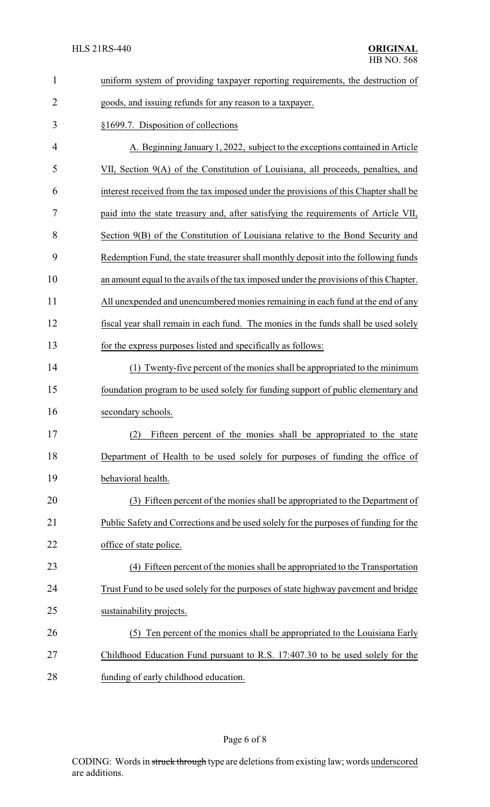| $\mathbf{1}$   | uniform system of providing taxpayer reporting requirements, the destruction of        |
|----------------|----------------------------------------------------------------------------------------|
| $\overline{2}$ | goods, and issuing refunds for any reason to a taxpayer.                               |
| 3              | §1699.7. Disposition of collections                                                    |
| 4              | A. Beginning January 1, 2022, subject to the exceptions contained in Article           |
| 5              | VII, Section 9(A) of the Constitution of Louisiana, all proceeds, penalties, and       |
| 6              | interest received from the tax imposed under the provisions of this Chapter shall be   |
| 7              | paid into the state treasury and, after satisfying the requirements of Article VII,    |
| 8              | Section 9(B) of the Constitution of Louisiana relative to the Bond Security and        |
| 9              | Redemption Fund, the state treasurer shall monthly deposit into the following funds    |
| 10             | an amount equal to the avails of the tax imposed under the provisions of this Chapter. |
| 11             | All unexpended and unencumbered monies remaining in each fund at the end of any        |
| 12             | fiscal year shall remain in each fund. The monies in the funds shall be used solely    |
| 13             | for the express purposes listed and specifically as follows:                           |
| 14             | (1) Twenty-five percent of the monies shall be appropriated to the minimum             |
| 15             | foundation program to be used solely for funding support of public elementary and      |
| 16             | secondary schools.                                                                     |
| 17             | (2) Fifteen percent of the monies shall be appropriated to the state                   |
| 18             | Department of Health to be used solely for purposes of funding the office of           |
| 19             | behavioral health.                                                                     |
| 20             | (3) Fifteen percent of the monies shall be appropriated to the Department of           |
| 21             | Public Safety and Corrections and be used solely for the purposes of funding for the   |
| 22             | office of state police.                                                                |
| 23             | (4) Fifteen percent of the monies shall be appropriated to the Transportation          |
| 24             | Trust Fund to be used solely for the purposes of state highway pavement and bridge     |
| 25             | sustainability projects.                                                               |
| 26             | Ten percent of the monies shall be appropriated to the Louisiana Early<br>(5)          |
| 27             | Childhood Education Fund pursuant to R.S. 17:407.30 to be used solely for the          |
| 28             | funding of early childhood education.                                                  |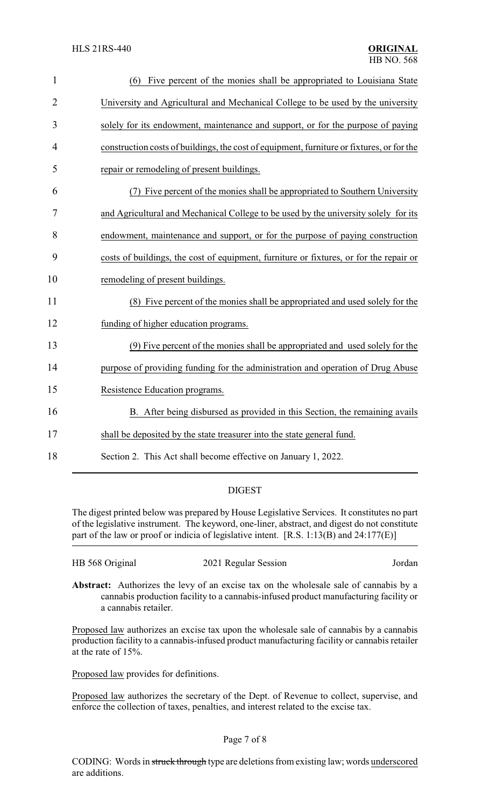| $\mathbf{1}$   | Five percent of the monies shall be appropriated to Louisiana State<br>(6)                |
|----------------|-------------------------------------------------------------------------------------------|
| $\overline{2}$ | University and Agricultural and Mechanical College to be used by the university           |
| 3              | solely for its endowment, maintenance and support, or for the purpose of paying           |
| 4              | construction costs of buildings, the cost of equipment, furniture or fixtures, or for the |
| 5              | repair or remodeling of present buildings.                                                |
| 6              | Five percent of the monies shall be appropriated to Southern University                   |
| 7              | and Agricultural and Mechanical College to be used by the university solely for its       |
| 8              | endowment, maintenance and support, or for the purpose of paying construction             |
| 9              | costs of buildings, the cost of equipment, furniture or fixtures, or for the repair or    |
| 10             | remodeling of present buildings.                                                          |
| 11             | (8) Five percent of the monies shall be appropriated and used solely for the              |
| 12             | funding of higher education programs.                                                     |
| 13             | (9) Five percent of the monies shall be appropriated and used solely for the              |
| 14             | purpose of providing funding for the administration and operation of Drug Abuse           |
| 15             | Resistence Education programs.                                                            |
| 16             | B. After being disbursed as provided in this Section, the remaining avails                |
| 17             | shall be deposited by the state treasurer into the state general fund.                    |
| 18             | Section 2. This Act shall become effective on January 1, 2022.                            |

## DIGEST

The digest printed below was prepared by House Legislative Services. It constitutes no part of the legislative instrument. The keyword, one-liner, abstract, and digest do not constitute part of the law or proof or indicia of legislative intent. [R.S. 1:13(B) and 24:177(E)]

| HB 568 Original | 2021 Regular Session | Jordan |
|-----------------|----------------------|--------|
|                 |                      |        |

**Abstract:** Authorizes the levy of an excise tax on the wholesale sale of cannabis by a cannabis production facility to a cannabis-infused product manufacturing facility or a cannabis retailer.

Proposed law authorizes an excise tax upon the wholesale sale of cannabis by a cannabis production facility to a cannabis-infused product manufacturing facility or cannabis retailer at the rate of 15%.

Proposed law provides for definitions.

Proposed law authorizes the secretary of the Dept. of Revenue to collect, supervise, and enforce the collection of taxes, penalties, and interest related to the excise tax.